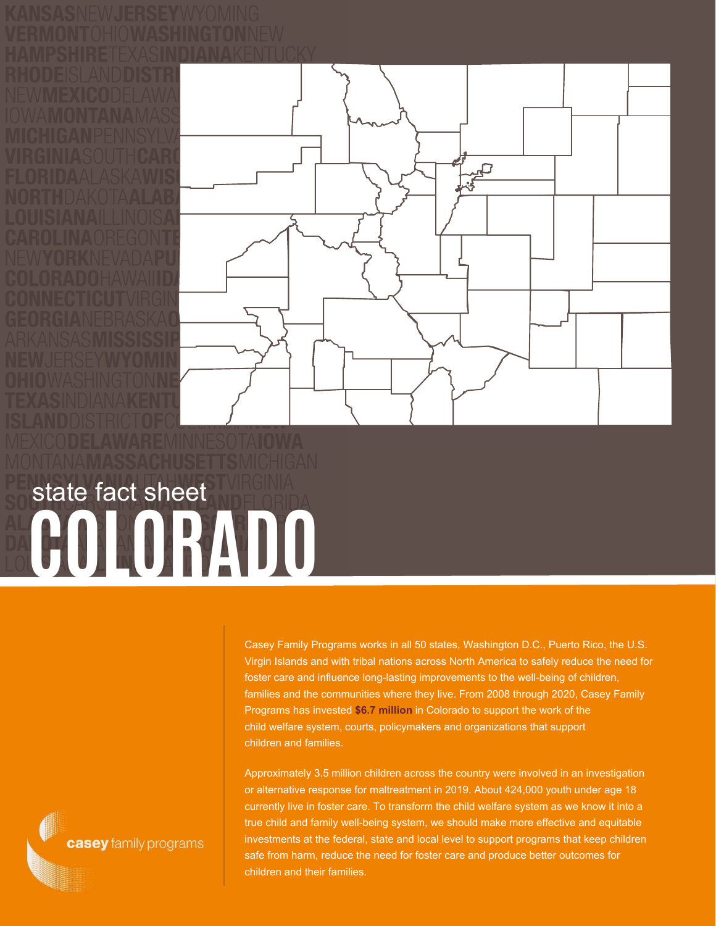

**COLORADO** state fact sheet

> Casey Family Programs works in all 50 states, Washington D.C., Puerto Rico, the U.S. Virgin Islands and with tribal nations across North America to safely reduce the need for foster care and influence long-lasting improvements to the well-being of children, families and the communities where they live. From 2008 through 2020, Casey Family Programs has invested **\$6.7 million** in Colorado to support the work of the child welfare system, courts, policymakers and organizations that support children and families.

Approximately 3.5 million children across the country were involved in an investigation or alternative response for maltreatment in 2019. About 424,000 youth under age 18 currently live in foster care. To transform the child welfare system as we know it into a true child and family well-being system, we should make more effective and equitable investments at the federal, state and local level to support programs that keep children safe from harm, reduce the need for foster care and produce better outcomes for children and their families.

casey family programs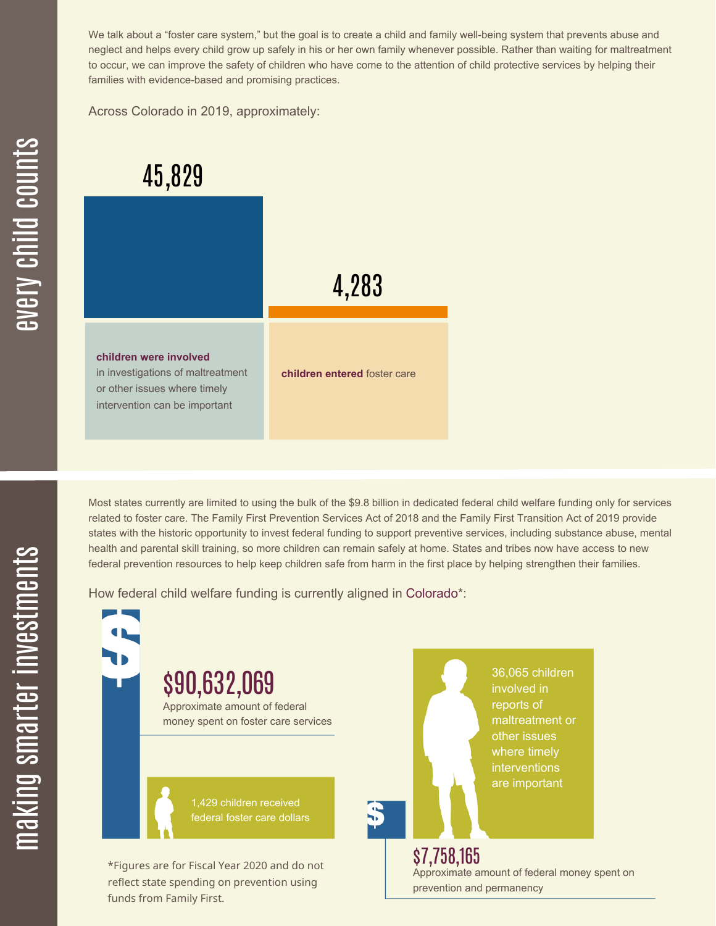We talk about a "foster care system," but the goal is to create a child and family well-being system that prevents abuse and neglect and helps every child grow up safely in his or her own family whenever possible. Rather than waiting for maltreatment to occur, we can improve the safety of children who have come to the attention of child protective services by helping their families with evidence-based and promising practices.

Across Colorado in 2019, approximately:

## 45,829

4,283 **children were involved** in investigations of maltreatment or other issues where timely intervention can be important **children entered** foster care

Most states currently are limited to using the bulk of the \$9.8 billion in dedicated federal child welfare funding only for services related to foster care. The Family First Prevention Services Act of 2018 and the Family First Transition Act of 2019 provide states with the historic opportunity to invest federal funding to support preventive services, including substance abuse, mental health and parental skill training, so more children can remain safely at home. States and tribes now have access to new federal prevention resources to help keep children safe from harm in the first place by helping strengthen their families.

How federal child welfare funding is currently aligned in Colorado\*:

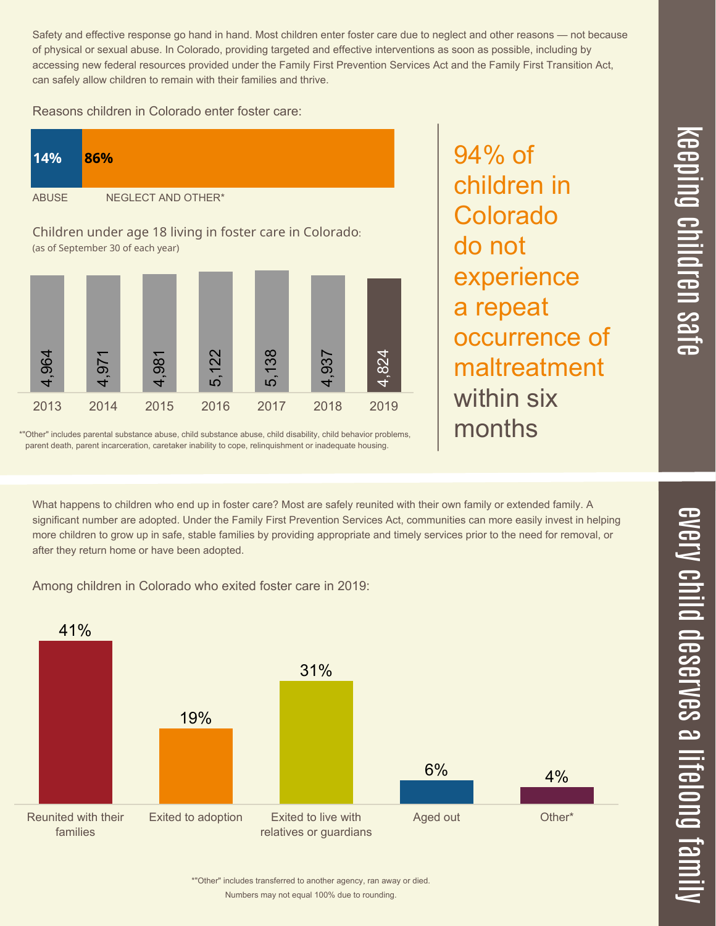Safety and effective response go hand in hand. Most children enter foster care due to neglect and other reasons — not because of physical or sexual abuse. In Colorado, providing targeted and effective interventions as soon as possible, including by accessing new federal resources provided under the Family First Prevention Services Act and the Family First Transition Act, can safely allow children to remain with their families and thrive.

Reasons children in Colorado enter foster care:

| 14%                                                      | 86%                |
|----------------------------------------------------------|--------------------|
| <b>ABUSE</b>                                             | NEGLECT AND OTHER* |
| Children under age 18 living in foster care in Colorado: |                    |

(as of September 30 of each year)



\*"Other" includes parental substance abuse, child substance abuse, child disability, child behavior problems, parent death, parent incarceration, caretaker inability to cope, relinquishment or inadequate housing.

experience a repeat occurrence of maltreatment within six months

94% of

children in

Colorado

do not

What happens to children who end up in foster care? Most are safely reunited with their own family or extended family. A significant number are adopted. Under the Family First Prevention Services Act, communities can more easily invest in helping more children to grow up in safe, stable families by providing appropriate and timely services prior to the need for removal, or after they return home or have been adopted.

Among children in Colorado who exited foster care in 2019:



 $\overline{\mathbf{C}}$  $\leq$  $\overline{\mathbf{C}}$  $\overline{\mathsf{Z}}$  $\overline{\mathbf{C}}$ 

 $\equiv$ 

 $\blacksquare$  $\overline{\mathbf{C}}$  $\mathcal{C}$  $\overline{\mathbf{C}}$  $\overline{\phantom{a}}$  $\overline{\mathbf{C}}$  $\mathcal{C}$ <u>م</u>

 $\equiv$ 

el<br>O  $\overline{\phantom{0}}$  $\blacksquare$ 

t<br>B

mily

Numbers may not equal 100% due to rounding. \*"Other" includes transferred to another agency, ran away or died.